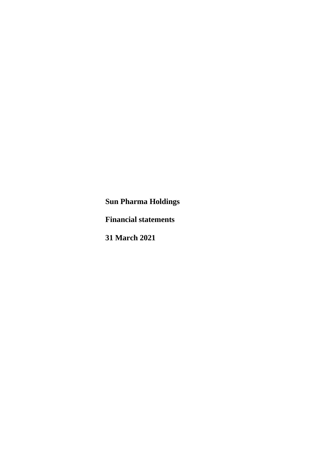**Financial statements**

**31 March 2021**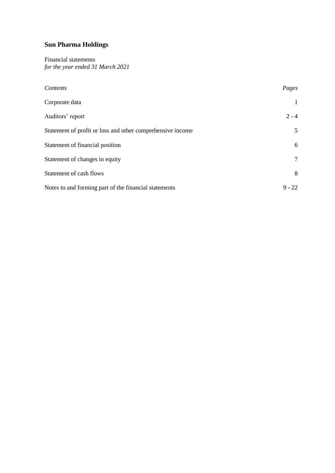Financial statements *for the year ended 31 March 2021*

| Contents                                                   | Pages    |
|------------------------------------------------------------|----------|
| Corporate data                                             |          |
| Auditors' report                                           | $2 - 4$  |
| Statement of profit or loss and other comprehensive income | 5        |
| Statement of financial position                            | 6        |
| Statement of changes in equity                             | $\tau$   |
| Statement of cash flows                                    | 8        |
| Notes to and forming part of the financial statements      | $9 - 22$ |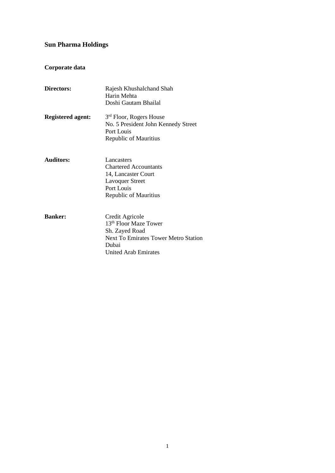# **Corporate data**

| <b>Directors:</b>        | Rajesh Khushalchand Shah<br>Harin Mehta<br>Doshi Gautam Bhailal                                                                                 |
|--------------------------|-------------------------------------------------------------------------------------------------------------------------------------------------|
| <b>Registered agent:</b> | 3 <sup>rd</sup> Floor, Rogers House<br>No. 5 President John Kennedy Street<br>Port Louis<br>Republic of Mauritius                               |
| <b>Auditors:</b>         | Lancasters<br><b>Chartered Accountants</b><br>14, Lancaster Court<br><b>Lavoquer Street</b><br>Port Louis<br>Republic of Mauritius              |
| <b>Banker:</b>           | Credit Agricole<br>13 <sup>th</sup> Floor Maze Tower<br>Sh. Zayed Road<br>Next To Emirates Tower Metro Station<br>Dubai<br>United Arab Emirates |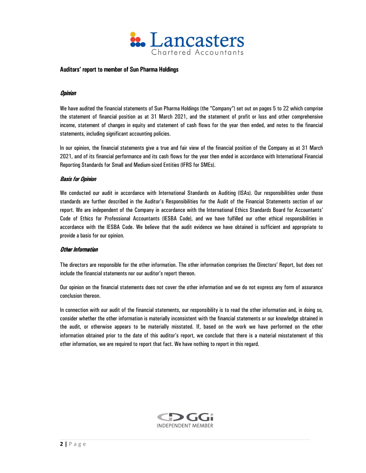

#### Auditors' report to member of Sun Pharma Holdings

#### **Opinion**

We have audited the financial statements of Sun Pharma Holdings (the "Company") set out on pages 5 to 22 which comprise the statement of financial position as at 31 March 2021, and the statement of profit or loss and other comprehensive income, statement of changes in equity and statement of cash flows for the year then ended, and notes to the financial statements, including significant accounting policies.

In our opinion, the financial statements give a true and fair view of the financial position of the Company as at 31 March 2021, and of its financial performance and its cash flows for the year then ended in accordance with International Financial Reporting Standards for Small and Medium-sized Entities (IFRS for SMEs).

#### **Basis for Opinion**

We conducted our audit in accordance with International Standards on Auditing (ISAs). Our responsibilities under those standards are further described in the Auditor's Responsibilities for the Audit of the Financial Statements section of our report. We are independent of the Company in accordance with the International Ethics Standards Board for Accountants' Code of Ethics for Professional Accountants (IESBA Code), and we have fulfilled our other ethical responsibilities in accordance with the IESBA Code. We believe that the audit evidence we have obtained is sufficient and appropriate to provide a basis for our opinion.

#### **Other Information**

The directors are responsible for the other information. The other information comprises the Directors' Report, but does not include the financial statements nor our auditor's report thereon.

Our opinion on the financial statements does not cover the other information and we do not express any form of assurance conclusion thereon.

In connection with our audit of the financial statements, our responsibility is to read the other information and, in doing so, consider whether the other information is materially inconsistent with the financial statements or our knowledge obtained in the audit, or otherwise appears to be materially misstated. If, based on the work we have performed on the other information obtained prior to the date of this auditor's report, we conclude that there is a material misstatement of this other information, we are required to report that fact. We have nothing to report in this regard.

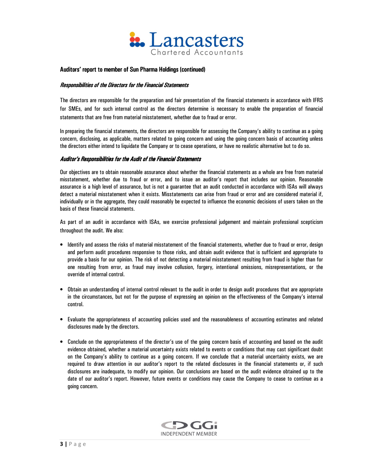

#### Auditors' report to member of Sun Pharma Holdings (continued)

#### Responsibilities of the Directors for the Financial Statements

The directors are responsible for the preparation and fair presentation of the financial statements in accordance with IFRS for SMEs, and for such internal control as the directors determine is necessary to enable the preparation of financial statements that are free from material misstatement, whether due to fraud or error.

In preparing the financial statements, the directors are responsible for assessing the Company's ability to continue as a going concern, disclosing, as applicable, matters related to going concern and using the going concern basis of accounting unless the directors either intend to liquidate the Company or to cease operations, or have no realistic alternative but to do so.

#### Auditor's Responsibilities for the Audit of the Financial Statements

Our objectives are to obtain reasonable assurance about whether the financial statements as a whole are free from material misstatement, whether due to fraud or error, and to issue an auditor's report that includes our opinion. Reasonable assurance is a high level of assurance, but is not a guarantee that an audit conducted in accordance with ISAs will always detect a material misstatement when it exists. Misstatements can arise from fraud or error and are considered material if, individually or in the aggregate, they could reasonably be expected to influence the economic decisions of users taken on the basis of these financial statements.

As part of an audit in accordance with ISAs, we exercise professional judgement and maintain professional scepticism throughout the audit. We also:

- Identify and assess the risks of material misstatement of the financial statements, whether due to fraud or error, design and perform audit procedures responsive to those risks, and obtain audit evidence that is sufficient and appropriate to provide a basis for our opinion. The risk of not detecting a material misstatement resulting from fraud is higher than for one resulting from error, as fraud may involve collusion, forgery, intentional omissions, misrepresentations, or the override of internal control.
- Obtain an understanding of internal control relevant to the audit in order to design audit procedures that are appropriate in the circumstances, but not for the purpose of expressing an opinion on the effectiveness of the Company's internal control.
- Evaluate the appropriateness of accounting policies used and the reasonableness of accounting estimates and related disclosures made by the directors.
- Conclude on the appropriateness of the director's use of the going concern basis of accounting and based on the audit evidence obtained, whether a material uncertainty exists related to events or conditions that may cast significant doubt on the Company's ability to continue as a going concern. If we conclude that a material uncertainty exists, we are required to draw attention in our auditor's report to the related disclosures in the financial statements or, if such disclosures are inadequate, to modify our opinion. Our conclusions are based on the audit evidence obtained up to the date of our auditor's report. However, future events or conditions may cause the Company to cease to continue as a going concern.

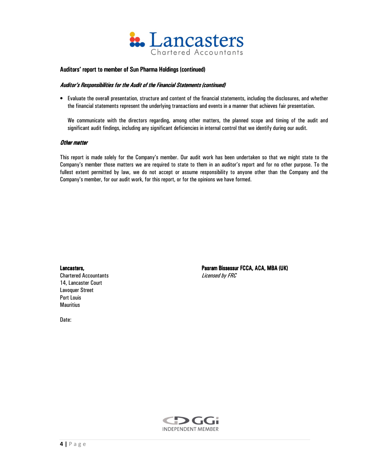

#### Auditors' report to member of Sun Pharma Holdings (continued)

#### Auditor's Responsibilities for the Audit of the Financial Statements (continued)

• Evaluate the overall presentation, structure and content of the financial statements, including the disclosures, and whether the financial statements represent the underlying transactions and events in a manner that achieves fair presentation.

We communicate with the directors regarding, among other matters, the planned scope and timing of the audit and significant audit findings, including any significant deficiencies in internal control that we identify during our audit.

#### Other matter

This report is made solely for the Company's member. Our audit work has been undertaken so that we might state to the Company's member those matters we are required to state to them in an auditor's report and for no other purpose. To the fullest extent permitted by law, we do not accept or assume responsibility to anyone other than the Company and the Company's member, for our audit work, for this report, or for the opinions we have formed.

Chartered Accountants **Charter** 2 and 2 and 2 and 2 and 2 and 2 and 2 and 2 and 2 and 2 and 2 and 2 and 2 and 2 and 2 and 2 and 2 and 2 and 2 and 2 and 2 and 2 and 2 and 2 and 2 and 2 and 2 and 2 and 2 and 2 and 2 and 2 an 14, Lancaster Court Lavoquer Street Port Louis **Mauritius** 

Date:

Lancasters, Lancasters, Pasram Bissessur FCCA, ACA, MBA (UK) Pasram Bissessur FCCA, ACA, MBA (UK) Pasram (UK)

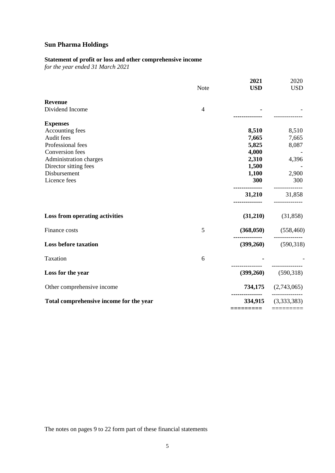#### **Statement of profit or loss and other comprehensive income**

*for the year ended 31 March 2021*

|                                         |                | 2021       | 2020                    |
|-----------------------------------------|----------------|------------|-------------------------|
|                                         | Note           | <b>USD</b> | <b>USD</b>              |
| <b>Revenue</b>                          |                |            |                         |
| Dividend Income                         | $\overline{4}$ |            |                         |
| <b>Expenses</b>                         |                |            |                         |
| Accounting fees                         |                | 8,510      | 8,510                   |
| Audit fees                              |                | 7,665      | 7,665                   |
| Professional fees                       |                | 5,825      | 8,087                   |
| Conversion fees                         |                | 4,000      |                         |
| Administration charges                  |                | 2,310      | 4,396                   |
| Director sitting fees                   |                | 1,500      |                         |
| Disbursement                            |                | 1,100      | 2,900                   |
| Licence fees                            |                | 300        | 300                     |
|                                         |                | 31,210     | 31,858                  |
| Loss from operating activities          |                | (31,210)   | (31, 858)               |
| Finance costs                           | 5              |            | $(368,050)$ $(558,460)$ |
| <b>Loss before taxation</b>             |                | (399,260)  | (590, 318)              |
| Taxation                                | 6              |            |                         |
| Loss for the year                       |                | (399,260)  | (590,318)               |
| Other comprehensive income              |                | 734,175    | (2,743,065)             |
| Total comprehensive income for the year |                | 334,915    | (3,333,383)             |
|                                         |                |            |                         |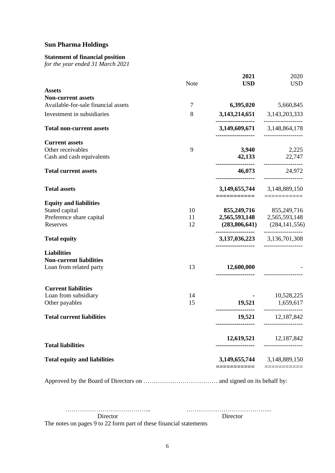# **Statement of financial position**

*for the year ended 31 March 2021*

|                |                              | 2020<br><b>USD</b>                                                                                                                                                    |
|----------------|------------------------------|-----------------------------------------------------------------------------------------------------------------------------------------------------------------------|
|                |                              |                                                                                                                                                                       |
|                |                              |                                                                                                                                                                       |
| $\overline{7}$ | 6,395,020                    | 5,660,845                                                                                                                                                             |
| 8              | 3,143,214,651 3,143,203,333  |                                                                                                                                                                       |
|                | 3,149,609,671 3,148,864,178  | -----------------                                                                                                                                                     |
|                |                              |                                                                                                                                                                       |
| 9              |                              | $3,940$ 2,225                                                                                                                                                         |
|                |                              | 42,133 22,747<br>-----------------                                                                                                                                    |
|                |                              | 46,073 24,972<br>---------------                                                                                                                                      |
|                | 3,149,655,744 3,148,889,150  |                                                                                                                                                                       |
|                |                              |                                                                                                                                                                       |
| 10             |                              | 855,249,716 855,249,716                                                                                                                                               |
| 11             |                              |                                                                                                                                                                       |
|                |                              | ----------------                                                                                                                                                      |
|                | 3,137,036,223 3,136,701,308  | ----------------                                                                                                                                                      |
|                |                              |                                                                                                                                                                       |
|                |                              |                                                                                                                                                                       |
|                | .                            |                                                                                                                                                                       |
|                |                              |                                                                                                                                                                       |
| 14             |                              | $-10,528,225$                                                                                                                                                         |
|                |                              | 19,521 1,659,617                                                                                                                                                      |
|                |                              | 19,521 12,187,842                                                                                                                                                     |
|                | 12,619,521                   | 12,187,842                                                                                                                                                            |
|                | ------------------           |                                                                                                                                                                       |
|                | 3,149,655,744<br>=========== | 3,148,889,150<br>===========                                                                                                                                          |
|                | Note<br>12<br>13<br>15       | 2021<br><b>USD</b><br>-------------------<br><br>=========<br>2,565,593,148 2,565,593,148<br>$(283,806,641)$ $(284,141,556)$<br>.<br>------------------<br>12,600,000 |

Approved by the Board of Directors on ……………………………… and signed on its behalf by:

…………………………………... …………………………………...

Director Director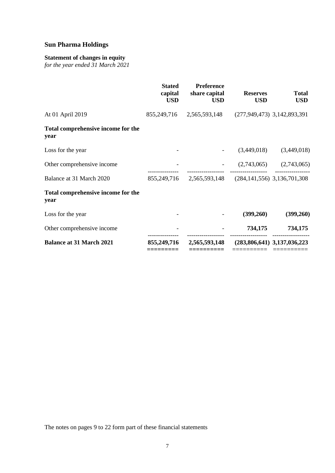#### **Statement of changes in equity**

*for the year ended 31 March 2021*

|                                            | <b>Stated</b><br>capital<br><b>USD</b> | <b>Preference</b><br>share capital<br><b>USD</b> | <b>Reserves</b><br><b>USD</b> | <b>Total</b><br><b>USD</b>         |
|--------------------------------------------|----------------------------------------|--------------------------------------------------|-------------------------------|------------------------------------|
| At 01 April 2019                           | 855,249,716                            | 2,565,593,148                                    |                               | $(277,949,473)$ 3,142,893,391      |
| Total comprehensive income for the<br>year |                                        |                                                  |                               |                                    |
| Loss for the year                          |                                        |                                                  | (3,449,018)                   | (3,449,018)                        |
| Other comprehensive income                 |                                        |                                                  | (2,743,065)                   | (2,743,065)                        |
| Balance at 31 March 2020                   | 855,249,716                            | 2,565,593,148                                    |                               | $(284, 141, 556)$ 3, 136, 701, 308 |
| Total comprehensive income for the<br>year |                                        |                                                  |                               |                                    |
| Loss for the year                          |                                        |                                                  | (399,260)                     | (399, 260)                         |
| Other comprehensive income                 |                                        |                                                  | 734,175                       | 734,175                            |
| <b>Balance at 31 March 2021</b>            | 855,249,716                            | 2,565,593,148                                    |                               | $(283,806,641)$ 3,137,036,223      |
|                                            |                                        |                                                  |                               |                                    |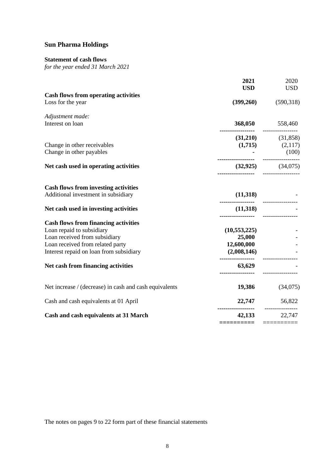# **Statement of cash flows**

*for the year ended 31 March 2021*

|                                                        | 2021                                              | 2020                    |
|--------------------------------------------------------|---------------------------------------------------|-------------------------|
|                                                        | <b>USD</b>                                        | <b>USD</b>              |
| <b>Cash flows from operating activities</b>            |                                                   |                         |
| Loss for the year                                      |                                                   | $(399,260)$ $(590,318)$ |
| Adjustment made:                                       |                                                   |                         |
| Interest on loan                                       | 368,050                                           | 558,460                 |
|                                                        |                                                   | $(31,210)$ $(31,858)$   |
| Change in other receivables                            |                                                   | $(1,715)$ $(2,117)$     |
| Change in other payables                               |                                                   | (100)                   |
| Net cash used in operating activities                  |                                                   | $(32,925)$ $(34,075)$   |
| <b>Cash flows from investing activities</b>            |                                                   |                         |
| Additional investment in subsidiary                    | (11,318)                                          |                         |
| Net cash used in investing activities                  | -----------------     ---------------<br>(11,318) |                         |
| <b>Cash flows from financing activities</b>            |                                                   |                         |
| Loan repaid to subsidiary                              | (10,553,225)                                      |                         |
| Loan received from subsidiary                          | 25,000                                            |                         |
| Loan received from related party                       | 12,600,000                                        |                         |
| Interest repaid on loan from subsidiary                | (2,008,146)                                       |                         |
| Net cash from financing activities                     |                                                   |                         |
| Net increase / (decrease) in cash and cash equivalents |                                                   | $19,386$ (34,075)       |
| Cash and cash equivalents at 01 April                  |                                                   |                         |
| Cash and cash equivalents at 31 March                  |                                                   | 42,133 22,747           |
|                                                        | =========                                         | ==========              |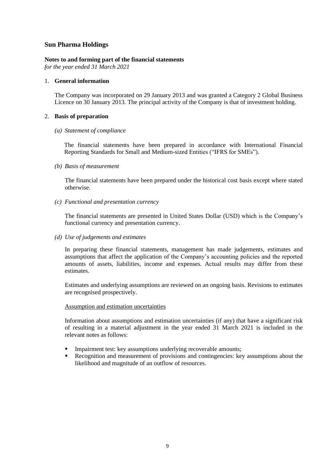#### **Notes to and forming part of the financial statements**

*for the year ended 31 March 2021*

#### 1. **General information**

The Company was incorporated on 29 January 2013 and was granted a Category 2 Global Business Licence on 30 January 2013. The principal activity of the Company is that of investment holding.

#### 2. **Basis of preparation**

#### *(a) Statement of compliance*

The financial statements have been prepared in accordance with International Financial Reporting Standards for Small and Medium-sized Entities ("IFRS for SMEs").

#### *(b) Basis of measurement*

The financial statements have been prepared under the historical cost basis except where stated otherwise.

*(c) Functional and presentation currency*

The financial statements are presented in United States Dollar (USD) which is the Company's functional currency and presentation currency.

#### *(d) Use of judgements and estimates*

In preparing these financial statements, management has made judgements, estimates and assumptions that affect the application of the Company's accounting policies and the reported amounts of assets, liabilities, income and expenses. Actual results may differ from these estimates.

Estimates and underlying assumptions are reviewed on an ongoing basis. Revisions to estimates are recognised prospectively.

#### Assumption and estimation uncertainties

Information about assumptions and estimation uncertainties (if any) that have a significant risk of resulting in a material adjustment in the year ended 31 March 2021 is included in the relevant notes as follows:

- Impairment test: key assumptions underlying recoverable amounts;
- Recognition and measurement of provisions and contingencies: key assumptions about the likelihood and magnitude of an outflow of resources.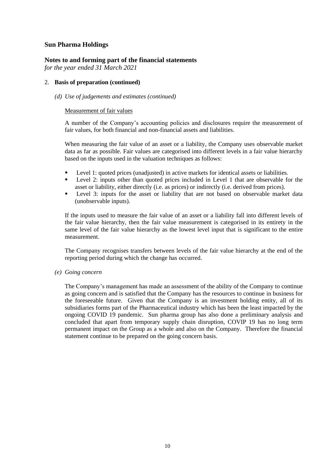# **Notes to and forming part of the financial statements**

*for the year ended 31 March 2021*

# 2. **Basis of preparation (continued)**

#### *(d) Use of judgements and estimates (continued)*

#### Measurement of fair values

A number of the Company's accounting policies and disclosures require the measurement of fair values, for both financial and non-financial assets and liabilities.

When measuring the fair value of an asset or a liability, the Company uses observable market data as far as possible. Fair values are categorised into different levels in a fair value hierarchy based on the inputs used in the valuation techniques as follows:

- Level 1: quoted prices (unadjusted) in active markets for identical assets or liabilities.
- Level 2: inputs other than quoted prices included in Level 1 that are observable for the asset or liability, either directly (i.e. as prices) or indirectly (i.e. derived from prices).
- Level 3: inputs for the asset or liability that are not based on observable market data (unobservable inputs).

If the inputs used to measure the fair value of an asset or a liability fall into different levels of the fair value hierarchy, then the fair value measurement is categorised in its entirety in the same level of the fair value hierarchy as the lowest level input that is significant to the entire measurement.

The Company recognises transfers between levels of the fair value hierarchy at the end of the reporting period during which the change has occurred.

#### *(e) Going concern*

The Company's management has made an assessment of the ability of the Company to continue as going concern and is satisfied that the Company has the resources to continue in business for the foreseeable future. Given that the Company is an investment holding entity, all of its subsidiaries forms part of the Pharmaceutical industry which has been the least impacted by the ongoing COVID 19 pandemic. Sun pharma group has also done a preliminary analysis and concluded that apart from temporary supply chain disruption, COVIP 19 has no long term permanent impact on the Group as a whole and also on the Company. Therefore the financial statement continue to be prepared on the going concern basis.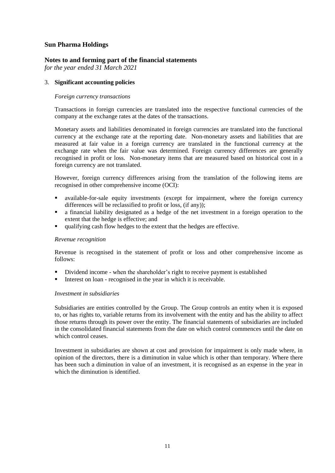#### **Notes to and forming part of the financial statements**

*for the year ended 31 March 2021*

# 3. **Significant accounting policies**

#### *Foreign currency transactions*

Transactions in foreign currencies are translated into the respective functional currencies of the company at the exchange rates at the dates of the transactions.

Monetary assets and liabilities denominated in foreign currencies are translated into the functional currency at the exchange rate at the reporting date. Non-monetary assets and liabilities that are measured at fair value in a foreign currency are translated in the functional currency at the exchange rate when the fair value was determined. Foreign currency differences are generally recognised in profit or loss. Non-monetary items that are measured based on historical cost in a foreign currency are not translated.

However, foreign currency differences arising from the translation of the following items are recognised in other comprehensive income (OCI):

- available-for-sale equity investments (except for impairment, where the foreign currency differences will be reclassified to profit or loss, (if any));
- a financial liability designated as a hedge of the net investment in a foreign operation to the extent that the hedge is effective; and
- qualifying cash flow hedges to the extent that the hedges are effective.

#### *Revenue recognition*

Revenue is recognised in the statement of profit or loss and other comprehensive income as follows:

- Dividend income when the shareholder's right to receive payment is established
- Interest on loan recognised in the year in which it is receivable.

#### *Investment in subsidiaries*

Subsidiaries are entities controlled by the Group. The Group controls an entity when it is exposed to, or has rights to, variable returns from its involvement with the entity and has the ability to affect those returns through its power over the entity. The financial statements of subsidiaries are included in the consolidated financial statements from the date on which control commences until the date on which control ceases.

Investment in subsidiaries are shown at cost and provision for impairment is only made where, in opinion of the directors, there is a diminution in value which is other than temporary. Where there has been such a diminution in value of an investment, it is recognised as an expense in the year in which the diminution is identified.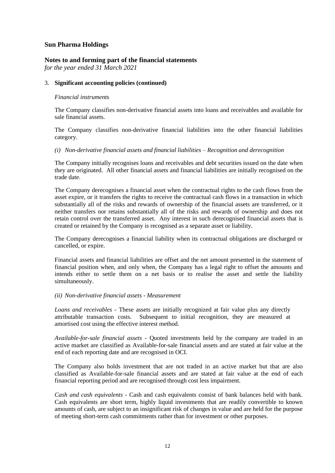## **Notes to and forming part of the financial statements**

*for the year ended 31 March 2021*

## 3. **Significant accounting policies (continued)**

#### *Financial instruments*

The Company classifies non-derivative financial assets into loans and receivables and available for sale financial assets.

The Company classifies non-derivative financial liabilities into the other financial liabilities category.

## *(i) Non-derivative financial assets and financial liabilities – Recognition and derecognition*

The Company initially recognises loans and receivables and debt securities issued on the date when they are originated. All other financial assets and financial liabilities are initially recognised on the trade date.

The Company derecognises a financial asset when the contractual rights to the cash flows from the asset expire, or it transfers the rights to receive the contractual cash flows in a transaction in which substantially all of the risks and rewards of ownership of the financial assets are transferred, or it neither transfers nor retains substantially all of the risks and rewards of ownership and does not retain control over the transferred asset. Any interest in such derecognised financial assets that is created or retained by the Company is recognised as a separate asset or liability.

The Company derecognises a financial liability when its contractual obligations are discharged or cancelled, or expire.

Financial assets and financial liabilities are offset and the net amount presented in the statement of financial position when, and only when, the Company has a legal right to offset the amounts and intends either to settle them on a net basis or to realise the asset and settle the liability simultaneously.

#### *(ii) Non-derivative financial assets - Measurement*

*Loans and receivables* - These assets are initially recognized at fair value plus any directly attributable transaction costs. Subsequent to initial recognition, they are measured at amortised cost using the effective interest method.

*Available-for-sale financial assets* - Quoted investments held by the company are traded in an active market are classified as Available-for-sale financial assets and are stated at fair value at the end of each reporting date and are recognised in OCI.

The Company also holds investment that are not traded in an active market but that are also classified as Available-for-sale financial assets and are stated at fair value at the end of each financial reporting period and are recognised through cost less impairment.

*Cash and cash equivalents -* Cash and cash equivalents consist of bank balances held with bank. Cash equivalents are short term, highly liquid investments that are readily convertible to known amounts of cash, are subject to an insignificant risk of changes in value and are held for the purpose of meeting short-term cash commitments rather than for investment or other purposes.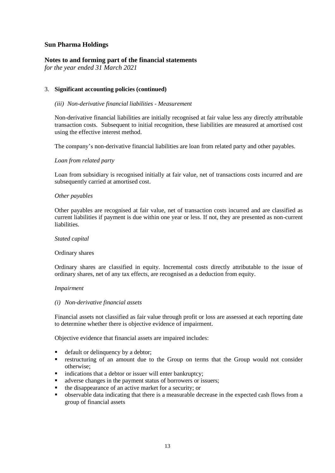# **Notes to and forming part of the financial statements**

*for the year ended 31 March 2021*

# 3. **Significant accounting policies (continued)**

#### *(iii) Non-derivative financial liabilities - Measurement*

Non-derivative financial liabilities are initially recognised at fair value less any directly attributable transaction costs. Subsequent to initial recognition, these liabilities are measured at amortised cost using the effective interest method.

The company's non-derivative financial liabilities are loan from related party and other payables.

#### *Loan from related party*

Loan from subsidiary is recognised initially at fair value, net of transactions costs incurred and are subsequently carried at amortised cost.

#### *Other payables*

Other payables are recognised at fair value, net of transaction costs incurred and are classified as current liabilities if payment is due within one year or less. If not, they are presented as non-current liabilities.

#### *Stated capital*

#### Ordinary shares

Ordinary shares are classified in equity. Incremental costs directly attributable to the issue of ordinary shares, net of any tax effects, are recognised as a deduction from equity.

#### *Impairment*

#### *(i) Non-derivative financial assets*

Financial assets not classified as fair value through profit or loss are assessed at each reporting date to determine whether there is objective evidence of impairment.

Objective evidence that financial assets are impaired includes:

- default or delinquency by a debtor;
- restructuring of an amount due to the Group on terms that the Group would not consider otherwise;
- indications that a debtor or issuer will enter bankruptcy;
- adverse changes in the payment status of borrowers or issuers;
- the disappearance of an active market for a security; or
- observable data indicating that there is a measurable decrease in the expected cash flows from a group of financial assets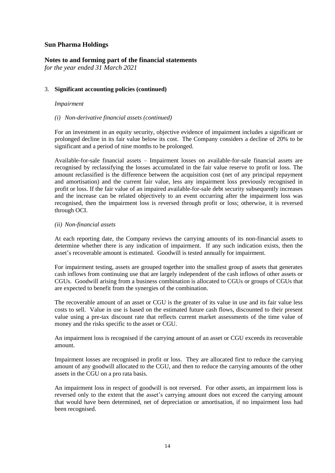# **Notes to and forming part of the financial statements**

*for the year ended 31 March 2021*

# 3. **Significant accounting policies (continued)**

#### *Impairment*

#### *(i) Non-derivative financial assets (continued)*

For an investment in an equity security, objective evidence of impairment includes a significant or prolonged decline in its fair value below its cost. The Company considers a decline of 20% to be significant and a period of nine months to be prolonged.

Available-for-sale financial assets – Impairment losses on available-for-sale financial assets are recognised by reclassifying the losses accumulated in the fair value reserve to profit or loss. The amount reclassified is the difference between the acquisition cost (net of any principal repayment and amortisation) and the current fair value, less any impairment loss previously recognised in profit or loss. If the fair value of an impaired available-for-sale debt security subsequently increases and the increase can be related objectively to an event occurring after the impairment loss was recognised, then the impairment loss is reversed through profit or loss; otherwise, it is reversed through OCI.

## *(ii) Non-financial assets*

At each reporting date, the Company reviews the carrying amounts of its non-financial assets to determine whether there is any indication of impairment. If any such indication exists, then the asset's recoverable amount is estimated. Goodwill is tested annually for impairment.

For impairment testing, assets are grouped together into the smallest group of assets that generates cash inflows from continuing use that are largely independent of the cash inflows of other assets or CGUs. Goodwill arising from a business combination is allocated to CGUs or groups of CGUs that are expected to benefit from the synergies of the combination.

The recoverable amount of an asset or CGU is the greater of its value in use and its fair value less costs to sell. Value in use is based on the estimated future cash flows, discounted to their present value using a pre-tax discount rate that reflects current market assessments of the time value of money and the risks specific to the asset or CGU.

An impairment loss is recognised if the carrying amount of an asset or CGU exceeds its recoverable amount.

Impairment losses are recognised in profit or loss. They are allocated first to reduce the carrying amount of any goodwill allocated to the CGU, and then to reduce the carrying amounts of the other assets in the CGU on a pro rata basis.

An impairment loss in respect of goodwill is not reversed. For other assets, an impairment loss is reversed only to the extent that the asset's carrying amount does not exceed the carrying amount that would have been determined, net of depreciation or amortisation, if no impairment loss had been recognised.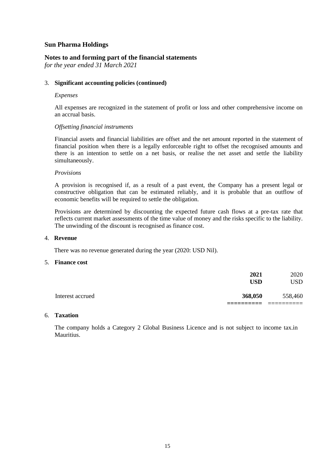### **Notes to and forming part of the financial statements**

*for the year ended 31 March 2021*

#### 3. **Significant accounting policies (continued)**

#### *Expenses*

All expenses are recognized in the statement of profit or loss and other comprehensive income on an accrual basis.

#### *Offsetting financial instruments*

Financial assets and financial liabilities are offset and the net amount reported in the statement of financial position when there is a legally enforceable right to offset the recognised amounts and there is an intention to settle on a net basis, or realise the net asset and settle the liability simultaneously.

#### *Provisions*

A provision is recognised if, as a result of a past event, the Company has a present legal or constructive obligation that can be estimated reliably, and it is probable that an outflow of economic benefits will be required to settle the obligation.

Provisions are determined by discounting the expected future cash flows at a pre-tax rate that reflects current market assessments of the time value of money and the risks specific to the liability. The unwinding of the discount is recognised as finance cost.

#### 4. **Revenue**

There was no revenue generated during the year (2020: USD Nil).

#### 5. **Finance cost**

| 2021                        | <b>USD</b> | 2020<br>USD |
|-----------------------------|------------|-------------|
| 368,050<br>Interest accrued |            | 558,460     |

# 6. **Taxation**

The company holds a Category 2 Global Business Licence and is not subject to income tax.in Mauritius.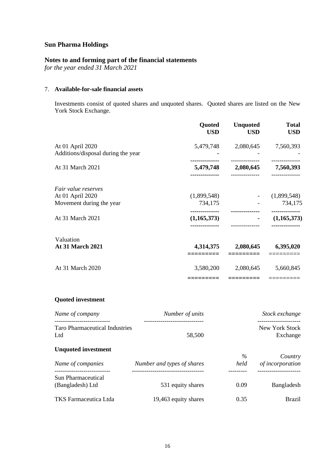# **Notes to and forming part of the financial statements**

*for the year ended 31 March 2021*

#### 7. **Available-for-sale financial assets**

Investments consist of quoted shares and unquoted shares. Quoted shares are listed on the New York Stock Exchange.

|                                                        | Quoted<br><b>USD</b> | <b>Unquoted</b><br><b>USD</b> | <b>Total</b><br><b>USD</b> |
|--------------------------------------------------------|----------------------|-------------------------------|----------------------------|
| At 01 April 2020<br>Additions/disposal during the year | 5,479,748            | 2,080,645                     | 7,560,393                  |
| At 31 March 2021                                       | 5,479,748            | 2,080,645                     | 7,560,393                  |
| Fair value reserves                                    |                      |                               |                            |
| At 01 April 2020                                       | (1,899,548)          |                               | (1,899,548)                |
| Movement during the year                               | 734,175              |                               | 734,175                    |
| At 31 March 2021                                       | (1,165,373)          |                               | (1,165,373)                |
| Valuation<br><b>At 31 March 2021</b>                   | 4,314,375            | 2,080,645                     | 6,395,020                  |
| At 31 March 2020                                       | 3,580,200            | 2,080,645                     | 5,660,845                  |
|                                                        |                      |                               |                            |

# **Quoted investment**

| Name of company                              | Number of units            |              | Stock exchange              |
|----------------------------------------------|----------------------------|--------------|-----------------------------|
| <b>Taro Pharmaceutical Industries</b><br>Ltd | 58,500                     |              | New York Stock<br>Exchange  |
| <b>Unquoted investment</b>                   |                            |              |                             |
| Name of companies                            | Number and types of shares | $\%$<br>held | Country<br>of incorporation |
| Sun Pharmaceutical<br>(Bangladesh) Ltd       | 531 equity shares          | 0.09         | Bangladesh                  |
| <b>TKS</b> Farmaceutica Ltda                 | 19,463 equity shares       | 0.35         | <b>Brazil</b>               |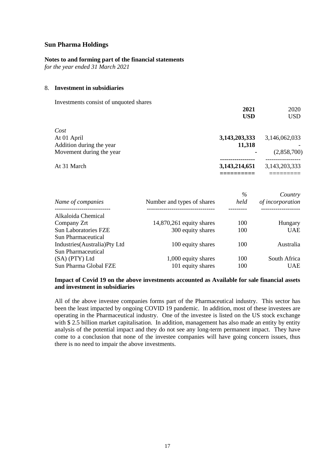#### **Notes to and forming part of the financial statements**

*for the year ended 31 March 2021*

#### 8. **Investment in subsidiaries**

Investments consist of unquoted shares

|                          | <b>USD</b>       | <b>USD</b>    |
|--------------------------|------------------|---------------|
| Cost                     |                  |               |
| At 01 April              | 3,143,203,333    | 3,146,062,033 |
| Addition during the year | 11,318           |               |
| Movement during the year |                  | (2,858,700)   |
|                          |                  |               |
| At 31 March              | 3, 143, 214, 651 | 3,143,203,333 |
|                          |                  |               |

**2021** 2020

| Name of companies              | Number and types of shares | $\%$<br>held | Country<br>of incorporation |
|--------------------------------|----------------------------|--------------|-----------------------------|
| Alkaloida Chemical             |                            |              |                             |
| Company Zrt                    | $14,870,261$ equity shares | 100          | Hungary                     |
| <b>Sun Laboratories FZE</b>    | 300 equity shares          | 100          | <b>UAE</b>                  |
| <b>Sun Pharmaceutical</b>      |                            |              |                             |
| Industries (Australia) Pty Ltd | 100 equity shares          | 100          | Australia                   |
| <b>Sun Pharmaceutical</b>      |                            |              |                             |
| $(SA)$ (PTY) Ltd               | 1,000 equity shares        | 100          | South Africa                |
| Sun Pharma Global FZE          | 101 equity shares          | 100          | <b>UAE</b>                  |

#### **Impact of Covid 19 on the above investments accounted as Available for sale financial assets and investment in subsidiaries**

All of the above investee companies forms part of the Pharmaceutical industry. This sector has been the least impacted by ongoing COVID 19 pandemic. In addition, most of these investees are operating in the Pharmaceutical industry. One of the investee is listed on the US stock exchange with \$2.5 billion market capitalisation. In addition, management has also made an entity by entity analysis of the potential impact and they do not see any long-term permanent impact. They have come to a conclusion that none of the investee companies will have going concern issues, thus there is no need to impair the above investments.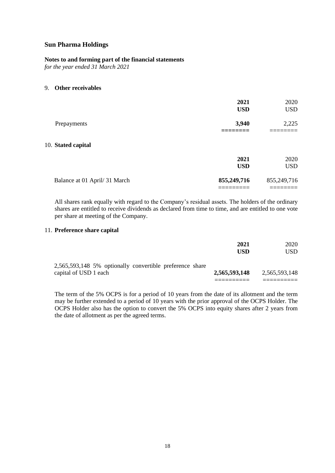### **Notes to and forming part of the financial statements**

*for the year ended 31 March 2021*

#### 9. **Other receivables**

|                               | 2021<br><b>USD</b> | 2020<br><b>USD</b>      |
|-------------------------------|--------------------|-------------------------|
| Prepayments                   | 3,940              | 2,225                   |
| 10. Stated capital            |                    |                         |
|                               | 2021<br><b>USD</b> | 2020<br><b>USD</b>      |
| Balance at 01 April/ 31 March | 855,249,716        | 855,249,716<br>________ |

All shares rank equally with regard to the Company's residual assets. The holders of the ordinary shares are entitled to receive dividends as declared from time to time, and are entitled to one vote per share at meeting of the Company.

## 11. **Preference share capital**

|                                                                                   | 2021<br><b>USD</b> | 2020<br>USD.  |
|-----------------------------------------------------------------------------------|--------------------|---------------|
| 2,565,593,148 5% optionally convertible preference share<br>capital of USD 1 each | 2,565,593,148      | 2,565,593,148 |

The term of the 5% OCPS is for a period of 10 years from the date of its allotment and the term may be further extended to a period of 10 years with the prior approval of the OCPS Holder. The OCPS Holder also has the option to convert the 5% OCPS into equity shares after 2 years from the date of allotment as per the agreed terms.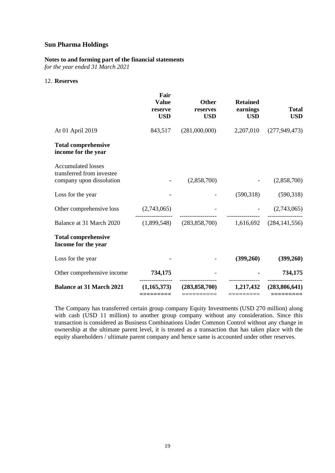#### **Notes to and forming part of the financial statements**

*for the year ended 31 March 2021*

#### 12. **Reserves**

|                                                                                    | Fair<br><b>Value</b><br>reserve<br><b>USD</b> | <b>Other</b><br>reserves<br><b>USD</b> | <b>Retained</b><br>earnings<br><b>USD</b> | <b>Total</b><br><b>USD</b> |
|------------------------------------------------------------------------------------|-----------------------------------------------|----------------------------------------|-------------------------------------------|----------------------------|
| At 01 April 2019                                                                   | 843,517                                       | (281,000,000)                          | 2,207,010                                 | (277, 949, 473)            |
| <b>Total comprehensive</b><br>income for the year                                  |                                               |                                        |                                           |                            |
| <b>Accumulated losses</b><br>transferred from investee<br>company upon dissolution |                                               | (2,858,700)                            |                                           | (2,858,700)                |
| Loss for the year                                                                  |                                               |                                        | (590,318)                                 | (590,318)                  |
| Other comprehensive loss                                                           | (2,743,065)                                   |                                        |                                           | (2,743,065)                |
| Balance at 31 March 2020                                                           | (1,899,548)                                   | (283, 858, 700)                        | 1,616,692                                 | (284, 141, 556)            |
| <b>Total comprehensive</b><br>Income for the year                                  |                                               |                                        |                                           |                            |
| Loss for the year                                                                  |                                               |                                        | (399,260)                                 | (399,260)                  |
| Other comprehensive income                                                         | 734,175                                       |                                        |                                           | 734,175                    |
| <b>Balance at 31 March 2021</b>                                                    | (1,165,373)                                   | (283, 858, 700)                        | 1,217,432                                 | (283, 806, 641)            |

The Company has transferred certain group company Equity Investments (USD 270 million) along with cash (USD 11 million) to another group company without any consideration. Since this transaction is considered as Business Combinations Under Common Control without any change in ownership at the ultimate parent level, it is treated as a transaction that has taken place with the equity shareholders / ultimate parent company and hence same is accounted under other reserves.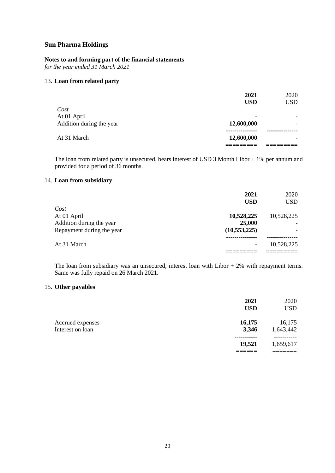## **Notes to and forming part of the financial statements**

*for the year ended 31 March 2021*

#### 13. **Loan from related party**

|                          | 2021       | 2020       |
|--------------------------|------------|------------|
|                          | <b>USD</b> | <b>USD</b> |
| Cost                     |            |            |
| At 01 April              |            |            |
| Addition during the year | 12,600,000 |            |
|                          |            |            |
| At 31 March              | 12,600,000 |            |
|                          |            |            |

The loan from related party is unsecured, bears interest of USD 3 Month Libor + 1% per annum and provided for a period of 36 months.

#### 14. **Loan from subsidiary**

|                           | 2021           | 2020       |
|---------------------------|----------------|------------|
|                           | <b>USD</b>     | <b>USD</b> |
| Cost                      |                |            |
| At 01 April               | 10,528,225     | 10,528,225 |
| Addition during the year  | 25,000         |            |
| Repayment during the year | (10, 553, 225) |            |
|                           |                |            |
| At 31 March               | ٠              | 10,528,225 |
|                           |                |            |

The loan from subsidiary was an unsecured, interest loan with Libor + 2% with repayment terms. Same was fully repaid on 26 March 2021.

## 15. **Other payables**

|                                      | 2021<br><b>USD</b> | 2020<br><b>USD</b>  |
|--------------------------------------|--------------------|---------------------|
| Accrued expenses<br>Interest on loan | 16,175<br>3,346    | 16,175<br>1,643,442 |
|                                      | 19,521             | 1,659,617           |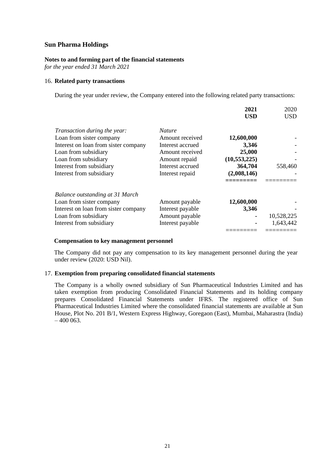#### **Notes to and forming part of the financial statements**

*for the year ended 31 March 2021*

#### 16. **Related party transactions**

During the year under review, the Company entered into the following related party transactions:

|                                      |                  | 2021           | 2020       |
|--------------------------------------|------------------|----------------|------------|
|                                      |                  | <b>USD</b>     | USD        |
| Transaction during the year:         | <b>Nature</b>    |                |            |
| Loan from sister company             | Amount received  | 12,600,000     |            |
| Interest on loan from sister company | Interest accrued | 3,346          |            |
| Loan from subsidiary                 | Amount received  | 25,000         |            |
| Loan from subsidiary                 | Amount repaid    | (10, 553, 225) |            |
| Interest from subsidiary             | Interest accrued | 364,704        | 558,460    |
| Interest from subsidiary             | Interest repaid  | (2,008,146)    |            |
| Balance outstanding at 31 March      |                  |                |            |
| Loan from sister company             | Amount payable   | 12,600,000     |            |
| Interest on loan from sister company | Interest payable | 3,346          |            |
| Loan from subsidiary                 | Amount payable   |                | 10,528,225 |
| Interest from subsidiary             | Interest payable |                | 1,643,442  |
|                                      |                  |                |            |

#### **Compensation to key management personnel**

The Company did not pay any compensation to its key management personnel during the year under review (2020: USD Nil).

### 17. **Exemption from preparing consolidated financial statements**

The Company is a wholly owned subsidiary of Sun Pharmaceutical Industries Limited and has taken exemption from producing Consolidated Financial Statements and its holding company prepares Consolidated Financial Statements under IFRS. The registered office of Sun Pharmaceutical Industries Limited where the consolidated financial statements are available at Sun House, Plot No. 201 B/1, Western Express Highway, Goregaon (East), Mumbai, Maharastra (India)  $-4000063$ .